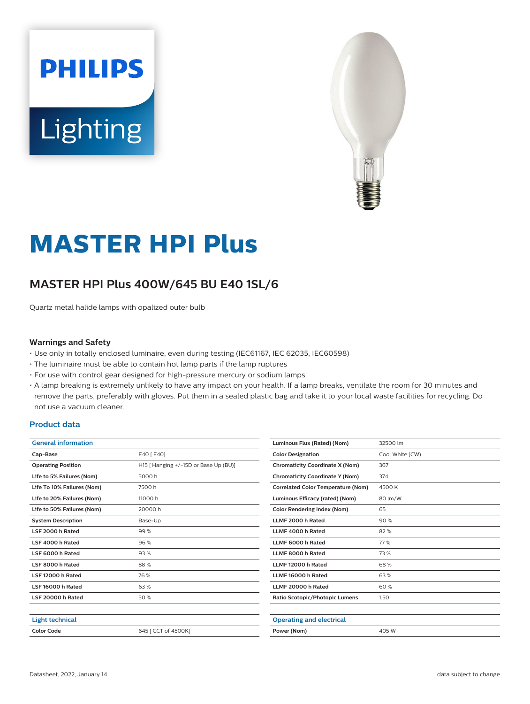# **PHILIPS** Lighting



## **MASTER HPI Plus**

### **MASTER HPI Plus 400W/645 BU E40 1SL/6**

Quartz metal halide lamps with opalized outer bulb

#### **Warnings and Safety**

- Use only in totally enclosed luminaire, even during testing (IEC61167, IEC 62035, IEC60598)
- The luminaire must be able to contain hot lamp parts if the lamp ruptures
- For use with control gear designed for high-pressure mercury or sodium lamps
- A lamp breaking is extremely unlikely to have any impact on your health. If a lamp breaks, ventilate the room for 30 minutes and remove the parts, preferably with gloves. Put them in a sealed plastic bag and take it to your local waste facilities for recycling. Do not use a vacuum cleaner.

#### **Product data**

| <b>General information</b> |                                       |  |
|----------------------------|---------------------------------------|--|
| Cap-Base                   | E40 [ E40]                            |  |
| <b>Operating Position</b>  | H15   Hanging +/-15D or Base Up (BU)] |  |
| Life to 5% Failures (Nom)  | 5000 h                                |  |
| Life To 10% Failures (Nom) | 7500 h                                |  |
| Life to 20% Failures (Nom) | 11000 h                               |  |
| Life to 50% Failures (Nom) | 20000 h                               |  |
| <b>System Description</b>  | Base-Up                               |  |
| LSF 2000 h Rated           | 99%                                   |  |
| LSF 4000 h Rated           | 96%                                   |  |
| LSF 6000 h Rated           | 93%                                   |  |
| LSF 8000 h Rated           | 88%                                   |  |
| LSF 12000 h Rated          | 76 %                                  |  |
| LSF 16000 h Rated          | 63%                                   |  |
| LSF 20000 h Rated          | 50%                                   |  |
|                            |                                       |  |
| <b>Light technical</b>     |                                       |  |
| <b>Color Code</b>          | 645   CCT of 4500K]                   |  |
|                            |                                       |  |

| Luminous Flux (Rated) (Nom)               | 32500 lm        |  |
|-------------------------------------------|-----------------|--|
| <b>Color Designation</b>                  | Cool White (CW) |  |
| <b>Chromaticity Coordinate X (Nom)</b>    | 367             |  |
| <b>Chromaticity Coordinate Y (Nom)</b>    | 374             |  |
| <b>Correlated Color Temperature (Nom)</b> | 4500 K          |  |
| Luminous Efficacy (rated) (Nom)           | 80 lm/W         |  |
| <b>Color Rendering Index (Nom)</b>        | 65              |  |
| LLMF 2000 h Rated                         | 90%             |  |
| LLMF 4000 h Rated                         | 82%             |  |
| LLMF 6000 h Rated                         | 77%             |  |
| LLMF 8000 h Rated                         | 73%             |  |
| LLMF 12000 h Rated                        | 68%             |  |
| LLMF 16000 h Rated                        | 63%             |  |
| LLMF 20000 h Rated                        | 60%             |  |
| Ratio Scotopic/Photopic Lumens            | 1.50            |  |
|                                           |                 |  |
| <b>Operating and electrical</b>           |                 |  |
| Power (Nom)                               | 405 W           |  |
|                                           |                 |  |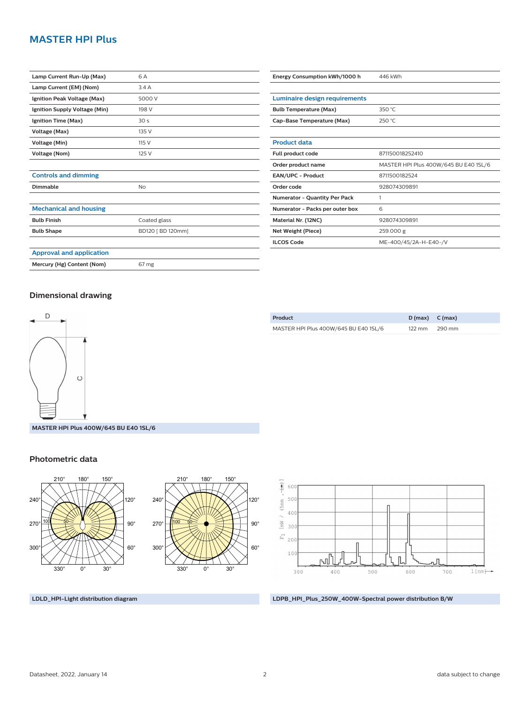#### **MASTER HPI Plus**

| Lamp Current Run-Up (Max)       | 6 A               |  |
|---------------------------------|-------------------|--|
| Lamp Current (EM) (Nom)         | 3.4A              |  |
| Ignition Peak Voltage (Max)     | 5000 V            |  |
| Ignition Supply Voltage (Min)   | 198 V             |  |
| Ignition Time (Max)             | 30 <sub>s</sub>   |  |
| Voltage (Max)                   | 135 V             |  |
| Voltage (Min)                   | 115 V             |  |
| Voltage (Nom)                   | 125 V             |  |
|                                 |                   |  |
| <b>Controls and dimming</b>     |                   |  |
| Dimmable                        | No                |  |
|                                 |                   |  |
| <b>Mechanical and housing</b>   |                   |  |
| <b>Bulb Finish</b>              | Coated glass      |  |
| <b>Bulb Shape</b>               | BD120 [ BD 120mm] |  |
|                                 |                   |  |
| <b>Approval and application</b> |                   |  |

| Luminaire design requirements        |                                       |  |
|--------------------------------------|---------------------------------------|--|
| <b>Bulb Temperature (Max)</b>        | 350 $°C$                              |  |
| Cap-Base Temperature (Max)           | 250 °C                                |  |
|                                      |                                       |  |
| <b>Product data</b>                  |                                       |  |
| Full product code                    | 871150018252410                       |  |
| Order product name                   | MASTER HPI Plus 400W/645 BU E40 1SL/6 |  |
| <b>EAN/UPC - Product</b>             | 8711500182524                         |  |
| Order code                           | 928074309891                          |  |
| <b>Numerator - Quantity Per Pack</b> | 1                                     |  |
| Numerator - Packs per outer box      | 6                                     |  |
| Material Nr. (12NC)                  | 928074309891                          |  |
| Net Weight (Piece)                   | 259.000 g                             |  |
| <b>ILCOS Code</b>                    | ME-400/45/2A-H-E40-/V                 |  |

**Energy Consumption kWh/1000 h** 446 kWh

#### **Dimensional drawing**

**Mercury (Hg) Content (Nom)** 67 mg



| Product                               | $D(max)$ $C(max)$ |        |
|---------------------------------------|-------------------|--------|
| MASTER HPI Plus 400W/645 BU E40 1SL/6 | $122 \text{ mm}$  | 290 mm |
|                                       |                   |        |

**MASTER HPI Plus 400W/645 BU E40 1SL/6**

#### **Photometric data**







**LDLD\_HPI-Light distribution diagram LDPB\_HPI\_Plus\_250W\_400W-Spectral power distribution B/W**

#### Datasheet, 2022, January 14 2 data subject to change